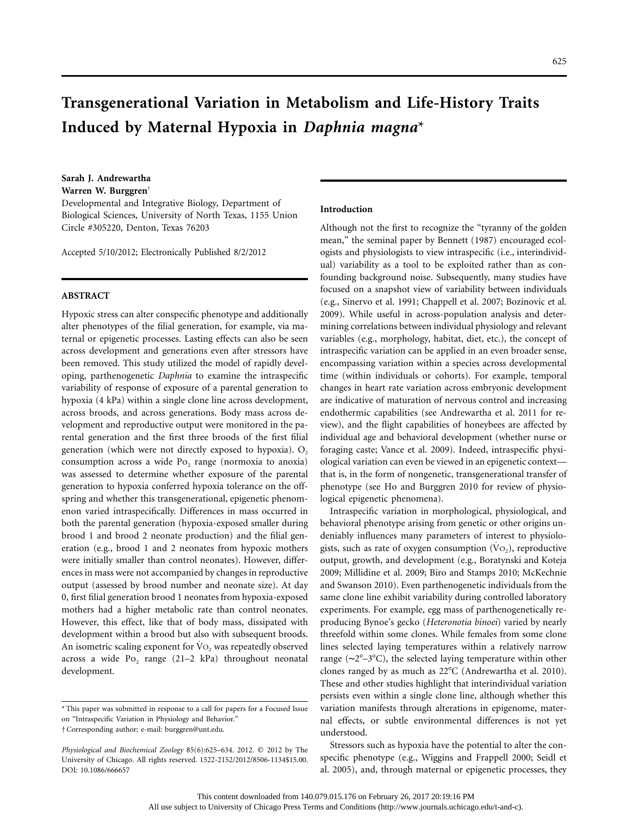# **Transgenerational Variation in Metabolism and Life-History Traits Induced by Maternal Hypoxia in** *Daphnia magna*\*

**Sarah J. Andrewartha Warren W. Burggren**†

Developmental and Integrative Biology, Department of Biological Sciences, University of North Texas, 1155 Union Circle #305220, Denton, Texas 76203

Accepted 5/10/2012; Electronically Published 8/2/2012

## **ABSTRACT**

Hypoxic stress can alter conspecific phenotype and additionally alter phenotypes of the filial generation, for example, via maternal or epigenetic processes. Lasting effects can also be seen across development and generations even after stressors have been removed. This study utilized the model of rapidly developing, parthenogenetic *Daphnia* to examine the intraspecific variability of response of exposure of a parental generation to hypoxia (4 kPa) within a single clone line across development, across broods, and across generations. Body mass across development and reproductive output were monitored in the parental generation and the first three broods of the first filial generation (which were not directly exposed to hypoxia).  $O_2$ consumption across a wide  $Po_2$  range (normoxia to anoxia) was assessed to determine whether exposure of the parental generation to hypoxia conferred hypoxia tolerance on the offspring and whether this transgenerational, epigenetic phenomenon varied intraspecifically. Differences in mass occurred in both the parental generation (hypoxia-exposed smaller during brood 1 and brood 2 neonate production) and the filial generation (e.g., brood 1 and 2 neonates from hypoxic mothers were initially smaller than control neonates). However, differences in mass were not accompanied by changes in reproductive output (assessed by brood number and neonate size). At day 0, first filial generation brood 1 neonates from hypoxia-exposed mothers had a higher metabolic rate than control neonates. However, this effect, like that of body mass, dissipated with development within a brood but also with subsequent broods. An isometric scaling exponent for  $Vo_2$  was repeatedly observed across a wide  $Po_2$  range (21–2 kPa) throughout neonatal development.

### **Introduction**

Although not the first to recognize the "tyranny of the golden mean," the seminal paper by Bennett (1987) encouraged ecologists and physiologists to view intraspecific (i.e., interindividual) variability as a tool to be exploited rather than as confounding background noise. Subsequently, many studies have focused on a snapshot view of variability between individuals (e.g., Sinervo et al. 1991; Chappell et al. 2007; Bozinovic et al. 2009). While useful in across-population analysis and determining correlations between individual physiology and relevant variables (e.g., morphology, habitat, diet, etc.), the concept of intraspecific variation can be applied in an even broader sense, encompassing variation within a species across developmental time (within individuals or cohorts). For example, temporal changes in heart rate variation across embryonic development are indicative of maturation of nervous control and increasing endothermic capabilities (see Andrewartha et al. 2011 for review), and the flight capabilities of honeybees are affected by individual age and behavioral development (whether nurse or foraging caste; Vance et al. 2009). Indeed, intraspecific physiological variation can even be viewed in an epigenetic context that is, in the form of nongenetic, transgenerational transfer of phenotype (see Ho and Burggren 2010 for review of physiological epigenetic phenomena).

Intraspecific variation in morphological, physiological, and behavioral phenotype arising from genetic or other origins undeniably influences many parameters of interest to physiologists, such as rate of oxygen consumption  $(VO<sub>2</sub>)$ , reproductive output, growth, and development (e.g., Boratynski and Koteja 2009; Millidine et al. 2009; Biro and Stamps 2010; McKechnie and Swanson 2010). Even parthenogenetic individuals from the same clone line exhibit variability during controlled laboratory experiments. For example, egg mass of parthenogenetically reproducing Bynoe's gecko (*Heteronotia binoei*) varied by nearly threefold within some clones. While females from some clone lines selected laying temperatures within a relatively narrow range ( $\sim$ 2°–3°C), the selected laying temperature within other clones ranged by as much as  $22^{\circ}$ C (Andrewartha et al. 2010). These and other studies highlight that interindividual variation persists even within a single clone line, although whether this variation manifests through alterations in epigenome, maternal effects, or subtle environmental differences is not yet understood.

Stressors such as hypoxia have the potential to alter the conspecific phenotype (e.g., Wiggins and Frappell 2000; Seidl et al. 2005), and, through maternal or epigenetic processes, they

<sup>\*</sup> This paper was submitted in response to a call for papers for a Focused Issue on "Intraspecific Variation in Physiology and Behavior."

<sup>†</sup> Corresponding author; e-mail: [burggren@unt.edu.](mailto:burggren@unt.edu)

Physiological and Biochemical Zoology 85(6):625-634. 2012. © 2012 by The University of Chicago. All rights reserved. 1522-2152/2012/8506-1134\$15.00. DOI: 10.1086/666657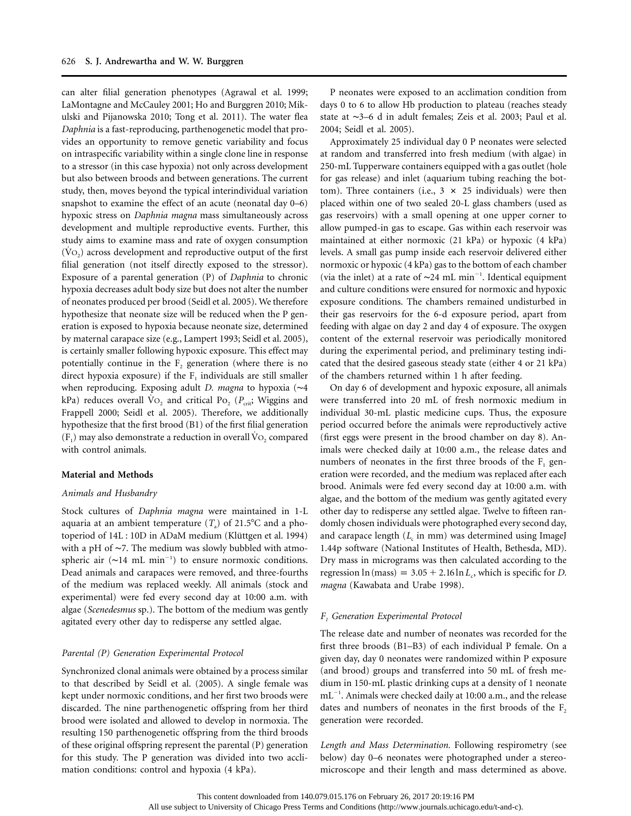can alter filial generation phenotypes (Agrawal et al. 1999; LaMontagne and McCauley 2001; Ho and Burggren 2010; Mikulski and Pijanowska 2010; Tong et al. 2011). The water flea *Daphnia* is a fast-reproducing, parthenogenetic model that provides an opportunity to remove genetic variability and focus on intraspecific variability within a single clone line in response to a stressor (in this case hypoxia) not only across development but also between broods and between generations. The current study, then, moves beyond the typical interindividual variation snapshot to examine the effect of an acute (neonatal day 0–6) hypoxic stress on *Daphnia magna* mass simultaneously across development and multiple reproductive events. Further, this study aims to examine mass and rate of oxygen consumption  $(V<sub>O<sub>2</sub></sub>)$  across development and reproductive output of the first filial generation (not itself directly exposed to the stressor). Exposure of a parental generation (P) of *Daphnia* to chronic hypoxia decreases adult body size but does not alter the number of neonates produced per brood (Seidl et al. 2005). We therefore hypothesize that neonate size will be reduced when the P generation is exposed to hypoxia because neonate size, determined by maternal carapace size (e.g., Lampert 1993; Seidl et al. 2005), is certainly smaller following hypoxic exposure. This effect may potentially continue in the  $F<sub>2</sub>$  generation (where there is no direct hypoxia exposure) if the  $F_1$  individuals are still smaller when reproducing. Exposing adult *D. magna* to hypoxia (∼4 kPa) reduces overall V<sub>O<sub>2</sub> and critical P<sub>O<sub>2</sub> ( $P_{\text{crit}}$ ; Wiggins and</sub></sub> Frappell 2000; Seidl et al. 2005). Therefore, we additionally hypothesize that the first brood (B1) of the first filial generation  $(F_1)$  may also demonstrate a reduction in overall  $Vo_2$  compared with control animals.

## **Material and Methods**

# *Animals and Husbandry*

Stock cultures of *Daphnia magna* were maintained in 1-L aquaria at an ambient temperature  $(T_a)$  of 21.5°C and a photoperiod of 14L : 10D in ADaM medium (Klüttgen et al. 1994) with a pH of ∼7. The medium was slowly bubbled with atmospheric air (~14 mL min<sup>-1</sup>) to ensure normoxic conditions. Dead animals and carapaces were removed, and three-fourths of the medium was replaced weekly. All animals (stock and experimental) were fed every second day at 10:00 a.m. with algae (*Scenedesmus* sp.). The bottom of the medium was gently agitated every other day to redisperse any settled algae.

#### *Parental (P) Generation Experimental Protocol*

Synchronized clonal animals were obtained by a process similar to that described by Seidl et al. (2005). A single female was kept under normoxic conditions, and her first two broods were discarded. The nine parthenogenetic offspring from her third brood were isolated and allowed to develop in normoxia. The resulting 150 parthenogenetic offspring from the third broods of these original offspring represent the parental (P) generation for this study. The P generation was divided into two acclimation conditions: control and hypoxia (4 kPa).

P neonates were exposed to an acclimation condition from days 0 to 6 to allow Hb production to plateau (reaches steady state at ∼3–6 d in adult females; Zeis et al. 2003; Paul et al. 2004; Seidl et al. 2005).

Approximately 25 individual day 0 P neonates were selected at random and transferred into fresh medium (with algae) in 250-mL Tupperware containers equipped with a gas outlet (hole for gas release) and inlet (aquarium tubing reaching the bottom). Three containers (i.e.,  $3 \times 25$  individuals) were then placed within one of two sealed 20-L glass chambers (used as gas reservoirs) with a small opening at one upper corner to allow pumped-in gas to escape. Gas within each reservoir was maintained at either normoxic (21 kPa) or hypoxic (4 kPa) levels. A small gas pump inside each reservoir delivered either normoxic or hypoxic (4 kPa) gas to the bottom of each chamber (via the inlet) at a rate of ~24 mL min<sup>-1</sup>. Identical equipment and culture conditions were ensured for normoxic and hypoxic exposure conditions. The chambers remained undisturbed in their gas reservoirs for the 6-d exposure period, apart from feeding with algae on day 2 and day 4 of exposure. The oxygen content of the external reservoir was periodically monitored during the experimental period, and preliminary testing indicated that the desired gaseous steady state (either 4 or 21 kPa) of the chambers returned within 1 h after feeding.

On day 6 of development and hypoxic exposure, all animals were transferred into 20 mL of fresh normoxic medium in individual 30-mL plastic medicine cups. Thus, the exposure period occurred before the animals were reproductively active (first eggs were present in the brood chamber on day 8). Animals were checked daily at 10:00 a.m., the release dates and numbers of neonates in the first three broods of the  $F_1$  generation were recorded, and the medium was replaced after each brood. Animals were fed every second day at 10:00 a.m. with algae, and the bottom of the medium was gently agitated every other day to redisperse any settled algae. Twelve to fifteen randomly chosen individuals were photographed every second day, and carapace length (*L*<sub>c</sub> in mm) was determined using ImageJ 1.44p software (National Institutes of Health, Bethesda, MD). Dry mass in micrograms was then calculated according to the regression  $\ln(\text{mass}) = 3.05 + 2.16 \ln L_c$ , which is specific for *D*. *magna* (Kawabata and Urabe 1998).

#### *F1 Generation Experimental Protocol*

The release date and number of neonates was recorded for the first three broods (B1–B3) of each individual P female. On a given day, day 0 neonates were randomized within P exposure (and brood) groups and transferred into 50 mL of fresh medium in 150-mL plastic drinking cups at a density of 1 neonate mL<sup>-1</sup>. Animals were checked daily at 10:00 a.m., and the release dates and numbers of neonates in the first broods of the  $F_2$ generation were recorded.

*Length and Mass Determination.* Following respirometry (see below) day 0–6 neonates were photographed under a stereomicroscope and their length and mass determined as above.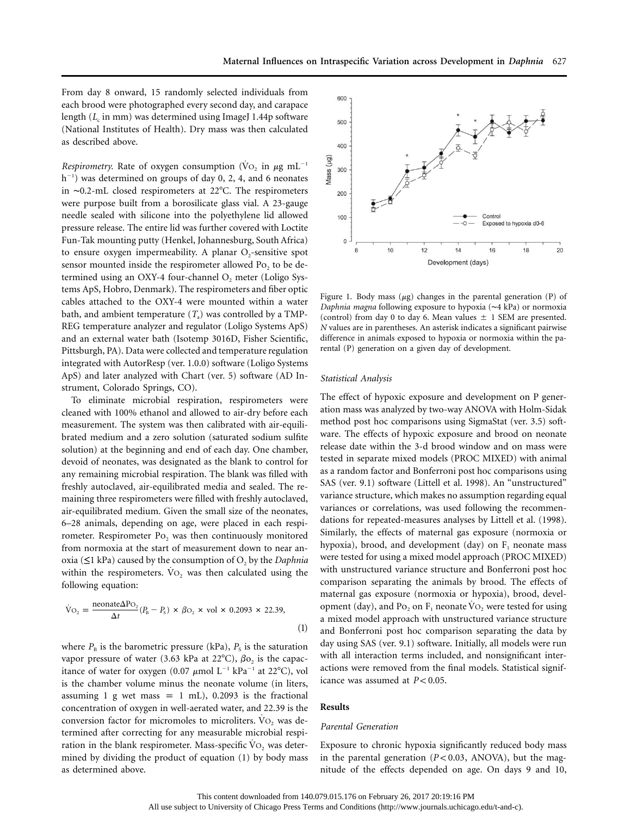From day 8 onward, 15 randomly selected individuals from each brood were photographed every second day, and carapace length (*L*<sub>c</sub> in mm) was determined using ImageJ 1.44p software (National Institutes of Health). Dry mass was then calculated as described above.

*Respirometry*. Rate of oxygen consumption ( $\text{Vo}_2$  in  $\mu$ g mL<sup>-1</sup> h<sup>-1</sup>) was determined on groups of day 0, 2, 4, and 6 neonates in ∼0.2-mL closed respirometers at 22C. The respirometers were purpose built from a borosilicate glass vial. A 23-gauge needle sealed with silicone into the polyethylene lid allowed pressure release. The entire lid was further covered with Loctite Fun-Tak mounting putty (Henkel, Johannesburg, South Africa) to ensure oxygen impermeability. A planar  $O<sub>2</sub>$ -sensitive spot sensor mounted inside the respirometer allowed  $Po_2$  to be determined using an OXY-4 four-channel  $O<sub>2</sub>$  meter (Loligo Systems ApS, Hobro, Denmark). The respirometers and fiber optic cables attached to the OXY-4 were mounted within a water bath, and ambient temperature  $(T_a)$  was controlled by a TMP-REG temperature analyzer and regulator (Loligo Systems ApS) and an external water bath (Isotemp 3016D, Fisher Scientific, Pittsburgh, PA). Data were collected and temperature regulation integrated with AutorResp (ver. 1.0.0) software (Loligo Systems ApS) and later analyzed with Chart (ver. 5) software (AD Instrument, Colorado Springs, CO).

To eliminate microbial respiration, respirometers were cleaned with 100% ethanol and allowed to air-dry before each measurement. The system was then calibrated with air-equilibrated medium and a zero solution (saturated sodium sulfite solution) at the beginning and end of each day. One chamber, devoid of neonates, was designated as the blank to control for any remaining microbial respiration. The blank was filled with freshly autoclaved, air-equilibrated media and sealed. The remaining three respirometers were filled with freshly autoclaved, air-equilibrated medium. Given the small size of the neonates, 6–28 animals, depending on age, were placed in each respirometer. Respirometer Po<sub>2</sub> was then continuously monitored from normoxia at the start of measurement down to near anoxia ( $\leq$ 1 kPa) caused by the consumption of O<sub>2</sub> by the *Daphnia* within the respirometers.  $\rm\dot{V}O_{2}$  was then calculated using the following equation:

$$
\dot{\text{V}}_{\text{O}_2} = \frac{\text{neonate}\Delta\text{PO}_2}{\Delta t}(P_{\text{B}} - P_{\text{s}}) \times \beta\text{O}_2 \times \text{vol} \times 0.2093 \times 22.39,
$$
\n(1)

where  $P_{\text{B}}$  is the barometric pressure (kPa),  $P_{\text{S}}$  is the saturation vapor pressure of water (3.63 kPa at 22°C),  $\beta$ o<sub>2</sub> is the capacitance of water for oxygen (0.07  $\mu$ mol L<sup>-1</sup> kPa<sup>-1</sup> at 22°C), vol is the chamber volume minus the neonate volume (in liters, assuming 1 g wet mass = 1 mL), 0.2093 is the fractional concentration of oxygen in well-aerated water, and 22.39 is the conversion factor for micromoles to microliters. VO<sub>2</sub> was determined after correcting for any measurable microbial respiration in the blank respirometer. Mass-specific  $\mathrm{Vo}_2$  was determined by dividing the product of equation (1) by body mass as determined above.



Figure 1. Body mass  $(\mu g)$  changes in the parental generation (P) of *Daphnia magna* following exposure to hypoxia (∼4 kPa) or normoxia (control) from day 0 to day 6. Mean values  $\pm$  1 SEM are presented. *N* values are in parentheses. An asterisk indicates a significant pairwise difference in animals exposed to hypoxia or normoxia within the parental (P) generation on a given day of development.

#### *Statistical Analysis*

The effect of hypoxic exposure and development on P generation mass was analyzed by two-way ANOVA with Holm-Sidak method post hoc comparisons using SigmaStat (ver. 3.5) software. The effects of hypoxic exposure and brood on neonate release date within the 3-d brood window and on mass were tested in separate mixed models (PROC MIXED) with animal as a random factor and Bonferroni post hoc comparisons using SAS (ver. 9.1) software (Littell et al. 1998). An "unstructured" variance structure, which makes no assumption regarding equal variances or correlations, was used following the recommendations for repeated-measures analyses by Littell et al. (1998). Similarly, the effects of maternal gas exposure (normoxia or hypoxia), brood, and development (day) on  $F_1$  neonate mass were tested for using a mixed model approach (PROC MIXED) with unstructured variance structure and Bonferroni post hoc comparison separating the animals by brood. The effects of maternal gas exposure (normoxia or hypoxia), brood, development (day), and Po<sub>2</sub> on F<sub>1</sub> neonate  $\rm VO_2$  were tested for using a mixed model approach with unstructured variance structure and Bonferroni post hoc comparison separating the data by day using SAS (ver. 9.1) software. Initially, all models were run with all interaction terms included, and nonsignificant interactions were removed from the final models. Statistical significance was assumed at  $P < 0.05$ .

# **Results**

## *Parental Generation*

Exposure to chronic hypoxia significantly reduced body mass in the parental generation  $(P < 0.03$ , ANOVA), but the magnitude of the effects depended on age. On days 9 and 10,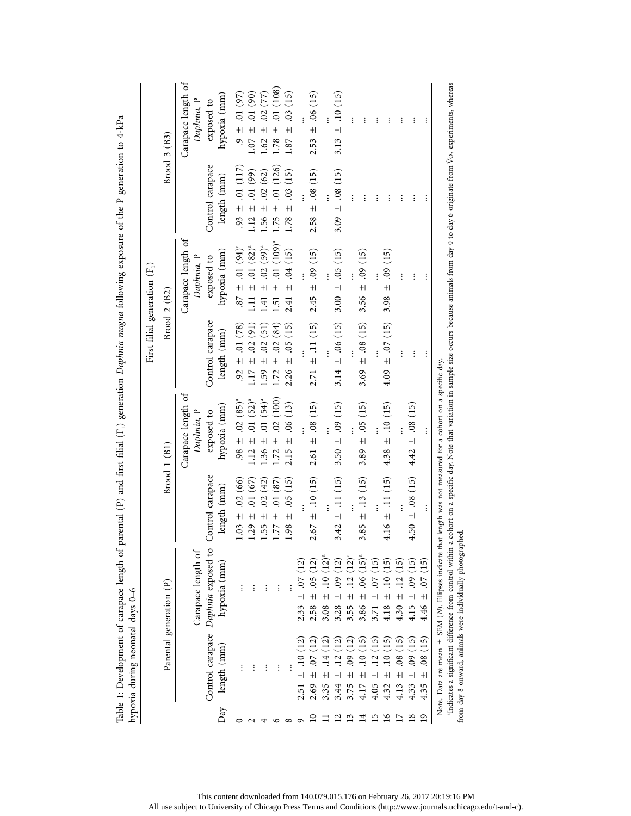| Control carapace<br>4.16 $\pm$ .11 (15)<br>$\pm$ .11 (15)<br>$3.85 \pm .13(15)$<br>$2.67 \pm .10(15)$<br>$1.03 \pm .02(66)$<br>.01(67)<br>$\widetilde{42}$<br>$\left(15\right)$<br>(87)<br>length (mm)<br>$\overline{0}$<br>0.5<br>$\overline{0}$<br>$+1$<br>$1.29 +$<br>$\ddot{+}$<br>$\ddot{+}$<br>3.42<br>1.55<br>1.98<br>1.77<br>Daphnia exposed to<br>Carapace length of<br>$\widehat{15}$<br>hypoxia (mm)<br>$\overline{15}$<br>ن<br>0.5<br>$\frac{8}{5}$<br>$\overline{c}$<br>౭<br>Parental generation (P)<br>$\vdots$<br>$\vdots$<br>፡<br>$+1$<br>$+1$<br>$+1$<br>$+$<br>$+$<br>$+$<br>$\pm$<br>$\pm$<br>3.55<br>3.86<br>1.30<br>2.58<br>3.08<br>3.28<br>4.18<br>Control carapace<br>$\Xi$<br>(15<br>.<br>(15<br>length (mm)<br>$\overline{0}$<br>$\overline{0}$<br>$\vdots$<br>$\vdots$<br>፡<br>፡<br>$\ddot{+}$<br>$+1$<br>$\pm$<br>2.69<br>3.75<br>4.13<br>3.35<br>3.44<br>4.05<br>4.32<br>4.17<br>2.51<br>Day<br>51<br>$\mathbf{S}$<br>$\mathbf{C}$<br>4<br>17 |  |                                                |                                              | First filial generation $(F_1)$               |                                        |                                           |
|---------------------------------------------------------------------------------------------------------------------------------------------------------------------------------------------------------------------------------------------------------------------------------------------------------------------------------------------------------------------------------------------------------------------------------------------------------------------------------------------------------------------------------------------------------------------------------------------------------------------------------------------------------------------------------------------------------------------------------------------------------------------------------------------------------------------------------------------------------------------------------------------------------------------------------------------------------------------------|--|------------------------------------------------|----------------------------------------------|-----------------------------------------------|----------------------------------------|-------------------------------------------|
|                                                                                                                                                                                                                                                                                                                                                                                                                                                                                                                                                                                                                                                                                                                                                                                                                                                                                                                                                                           |  | Brood 1 (B1)                                   |                                              | Brood 2 (B2)                                  |                                        | Brood 3 (B3)                              |
|                                                                                                                                                                                                                                                                                                                                                                                                                                                                                                                                                                                                                                                                                                                                                                                                                                                                                                                                                                           |  | Carapace length of<br>Daphnia, P               |                                              | Carapace length of<br>Daphnia, P              |                                        | Carapace length of<br>Daphnia, P          |
|                                                                                                                                                                                                                                                                                                                                                                                                                                                                                                                                                                                                                                                                                                                                                                                                                                                                                                                                                                           |  | hypoxia (mm)<br>exposed to                     | Control carapace<br>length (mm)              | hypoxia (mm)<br>exposed to                    | Control carapace<br>length (mm)        | hypoxia (mm)<br>exposed to                |
|                                                                                                                                                                                                                                                                                                                                                                                                                                                                                                                                                                                                                                                                                                                                                                                                                                                                                                                                                                           |  | $.98 \pm .02 (85)^{n}$                         | $.92 \pm .01(78)$                            | $-87 \pm .01 (94)^{a}$                        | $.93 \pm .01(117)$                     | $.9 \pm .01(97)$                          |
|                                                                                                                                                                                                                                                                                                                                                                                                                                                                                                                                                                                                                                                                                                                                                                                                                                                                                                                                                                           |  | $.12 \pm .01 (52)^{n}$                         | $1.17 \pm .02$ (91)                          | 1.11 $\pm$ 01 (82) <sup>a</sup>               | $(66)$ 10.<br>$1.12 \pm$               | $1.07 \pm .01$ (90)                       |
|                                                                                                                                                                                                                                                                                                                                                                                                                                                                                                                                                                                                                                                                                                                                                                                                                                                                                                                                                                           |  | $.01(54)^{a}$<br>$\ddot{+}$<br>.36             | (51)<br>$\pm .02$<br>1.59                    | $(59)^{a}$<br>$\ddot{\circ}$<br>$+1$<br>1.41  | .02(62)<br>$+1$<br>1.56                | 57)<br>$\overline{0}$<br>$+1$<br>1.62     |
|                                                                                                                                                                                                                                                                                                                                                                                                                                                                                                                                                                                                                                                                                                                                                                                                                                                                                                                                                                           |  | (100)<br>.02 <sub>0</sub><br>$\ddot{+}$<br>.72 | (84)<br>$\overline{0}$<br>$\ddot{+}$<br>1.72 | $(109)^{a}$<br>$\overline{C}$<br>$+1$<br>1.51 | (126)<br>$\overline{0}$<br>$+$<br>1.75 | (108)<br>$\overline{0}$ .<br>$+1$<br>1.78 |
|                                                                                                                                                                                                                                                                                                                                                                                                                                                                                                                                                                                                                                                                                                                                                                                                                                                                                                                                                                           |  | $(13)$<br>$\ddot{6}$<br>$\pm$ l<br>2.15        | (15)<br>0.5<br>$\frac{1}{1}$<br>2.26         | $(15)$<br>$\ddot{5}$<br>$\pm$<br>2.41         | (15)<br>$\overline{03}$<br>$+$<br>1.78 | (15)<br>$\ddot{0}$<br>$+1$<br>1.87        |
|                                                                                                                                                                                                                                                                                                                                                                                                                                                                                                                                                                                                                                                                                                                                                                                                                                                                                                                                                                           |  |                                                |                                              |                                               |                                        |                                           |
|                                                                                                                                                                                                                                                                                                                                                                                                                                                                                                                                                                                                                                                                                                                                                                                                                                                                                                                                                                           |  | $2.61 \pm .08(15)$                             | $\pm$ .11 (15)<br>2.71                       | $\pm$ .09 (15)<br>2.45                        | $\pm .08(15)$<br>2.58                  | $\pm 06(15)$<br>2.53                      |
|                                                                                                                                                                                                                                                                                                                                                                                                                                                                                                                                                                                                                                                                                                                                                                                                                                                                                                                                                                           |  |                                                |                                              |                                               |                                        |                                           |
|                                                                                                                                                                                                                                                                                                                                                                                                                                                                                                                                                                                                                                                                                                                                                                                                                                                                                                                                                                           |  | 3.50 $\pm$ .09 (15)                            | 3.14 $\pm$ .06 (15)                          | $3.00 \pm .05$ (15)                           | $3.09 \pm .08(15)$                     | $\pm$ .10 (15)<br>3.13                    |
|                                                                                                                                                                                                                                                                                                                                                                                                                                                                                                                                                                                                                                                                                                                                                                                                                                                                                                                                                                           |  |                                                |                                              |                                               | $\vdots$                               |                                           |
|                                                                                                                                                                                                                                                                                                                                                                                                                                                                                                                                                                                                                                                                                                                                                                                                                                                                                                                                                                           |  | $3.89 \pm .05(15)$                             | $3.69 \pm .08(15)$                           | $3.56 \pm .09(15)$                            | $\vdots$                               | $\vdots$                                  |
|                                                                                                                                                                                                                                                                                                                                                                                                                                                                                                                                                                                                                                                                                                                                                                                                                                                                                                                                                                           |  |                                                |                                              |                                               | $\vdots$                               | $\vdots$                                  |
|                                                                                                                                                                                                                                                                                                                                                                                                                                                                                                                                                                                                                                                                                                                                                                                                                                                                                                                                                                           |  | $\pm$ .10 (15)<br>4.38                         | $4.09 \pm .07$ (15)                          | (15)<br>$\frac{1}{2}$<br>3.98                 | $\vdots$                               | $\vdots$                                  |
|                                                                                                                                                                                                                                                                                                                                                                                                                                                                                                                                                                                                                                                                                                                                                                                                                                                                                                                                                                           |  |                                                |                                              | $\vdots$                                      | $\vdots$                               | $\vdots$                                  |
| 4.50 $\pm$ .08 (15)<br>$\tilde{5}$<br>$\overline{6}$<br>$+1$<br>4.15<br>ćL)<br>$\overline{0}$<br>$\pm$<br>4.33<br>$\overline{18}$                                                                                                                                                                                                                                                                                                                                                                                                                                                                                                                                                                                                                                                                                                                                                                                                                                         |  | $\pm 0.08(15)$<br>4.42                         | $\colon$                                     | $\vdots$                                      | $\vdots$                               | $\vdots$                                  |
| $\vdots$<br>ĆIJ<br>$\overline{0}$ .<br>$+$<br>4.46<br>$\overline{15}$<br>$\ddot{\mathrm{8}}$<br>$+$<br>4.35<br>$\overline{19}$                                                                                                                                                                                                                                                                                                                                                                                                                                                                                                                                                                                                                                                                                                                                                                                                                                            |  | $\vdots$                                       | $\vdots$                                     | $\vdots$                                      | $\colon$                               | $\vdots$                                  |

Table 1: Development of carapace length of parental (P) and first filial (F.) generation Daphnia magna following exposure of the P generation to  $4-\kappa P_4$ Table 1: Development of carapace length of parental (P) and first filial (F1) generation *Daphnia magna* following exposure of the P generation to 4-kPa

> This content downloaded from 140.079.015.176 on February 26, 2017 20:19:16 PM All use subject to University of Chicago Press Terms and Conditions (http://www.journals.uchicago.edu/t-and-c).

from day 8 onward, animals were individually photographed.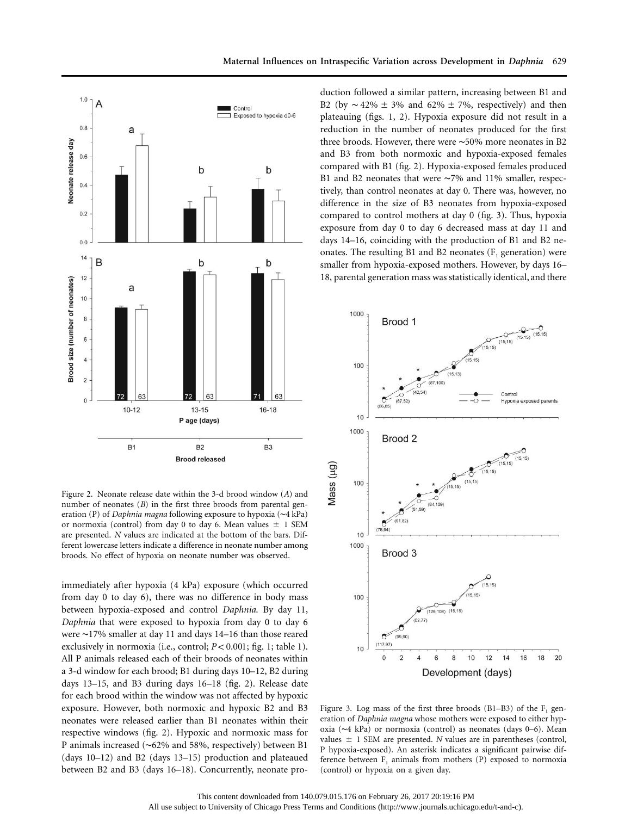

Figure 2. Neonate release date within the 3-d brood window (*A*) and number of neonates (*B*) in the first three broods from parental generation (P) of *Daphnia magna* following exposure to hypoxia (∼4 kPa) or normoxia (control) from day 0 to day 6. Mean values  $\pm$  1 SEM are presented. *N* values are indicated at the bottom of the bars. Different lowercase letters indicate a difference in neonate number among broods. No effect of hypoxia on neonate number was observed.

immediately after hypoxia (4 kPa) exposure (which occurred from day 0 to day 6), there was no difference in body mass between hypoxia-exposed and control *Daphnia*. By day 11, *Daphnia* that were exposed to hypoxia from day 0 to day 6 were ∼17% smaller at day 11 and days 14–16 than those reared exclusively in normoxia (i.e., control;  $P < 0.001$ ; fig. 1; table 1). All P animals released each of their broods of neonates within a 3-d window for each brood; B1 during days 10–12, B2 during days 13–15, and B3 during days 16–18 (fig. 2). Release date for each brood within the window was not affected by hypoxic exposure. However, both normoxic and hypoxic B2 and B3 neonates were released earlier than B1 neonates within their respective windows (fig. 2). Hypoxic and normoxic mass for P animals increased (∼62% and 58%, respectively) between B1 (days 10–12) and B2 (days 13–15) production and plateaued between B2 and B3 (days 16–18). Concurrently, neonate production followed a similar pattern, increasing between B1 and B2 (by  $\sim$  42% ± 3% and 62% ± 7%, respectively) and then plateauing (figs. 1, 2). Hypoxia exposure did not result in a reduction in the number of neonates produced for the first three broods. However, there were ∼50% more neonates in B2 and B3 from both normoxic and hypoxia-exposed females compared with B1 (fig. 2). Hypoxia-exposed females produced B1 and B2 neonates that were ∼7% and 11% smaller, respectively, than control neonates at day 0. There was, however, no difference in the size of B3 neonates from hypoxia-exposed compared to control mothers at day 0 (fig. 3). Thus, hypoxia exposure from day 0 to day 6 decreased mass at day 11 and days 14–16, coinciding with the production of B1 and B2 neonates. The resulting B1 and B2 neonates  $(F<sub>1</sub>$  generation) were smaller from hypoxia-exposed mothers. However, by days 16– 18, parental generation mass was statistically identical, and there



Figure 3. Log mass of the first three broods (B1–B3) of the  $F_1$  generation of *Daphnia magna* whose mothers were exposed to either hypoxia (∼4 kPa) or normoxia (control) as neonates (days 0–6). Mean values  $\pm$  1 SEM are presented. *N* values are in parentheses (control, P hypoxia-exposed). An asterisk indicates a significant pairwise difference between  $F_1$  animals from mothers (P) exposed to normoxia (control) or hypoxia on a given day.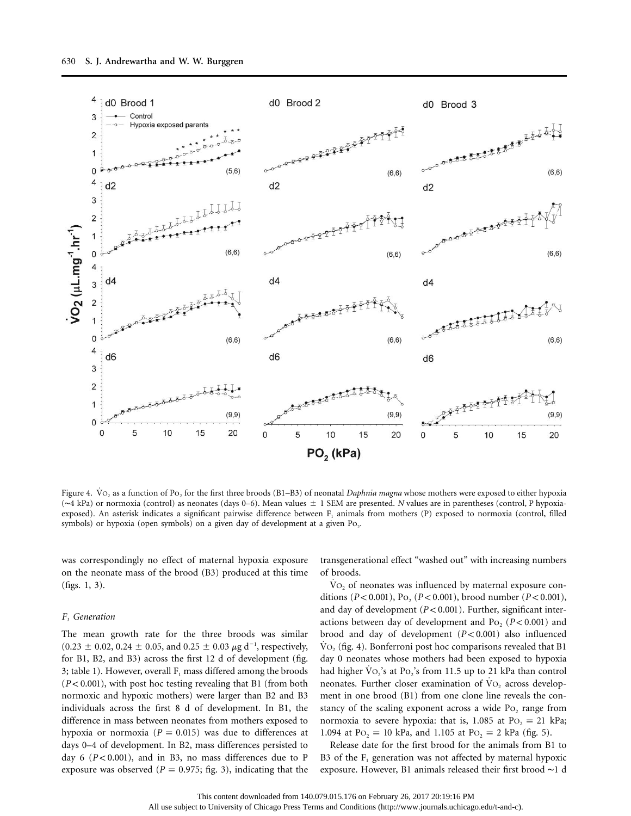

Figure 4. Vo<sub>2</sub> as a function of Po<sub>2</sub> for the first three broods (B1–B3) of neonatal *Daphnia magna* whose mothers were exposed to either hypoxia (∼4 kPa) or normoxia (control) as neonates (days 0–6). Mean values 1 SEM are presented. *N* values are in parentheses (control, P hypoxiaexposed). An asterisk indicates a significant pairwise difference between  $F_1$  animals from mothers (P) exposed to normoxia (control, filled symbols) or hypoxia (open symbols) on a given day of development at a given  $Po<sub>2</sub>$ .

was correspondingly no effect of maternal hypoxia exposure on the neonate mass of the brood (B3) produced at this time (figs. 1, 3).

#### *F1 Generation*

The mean growth rate for the three broods was similar  $(0.23 \pm 0.02, 0.24 \pm 0.05,$  and  $0.25 \pm 0.03 \mu$ g d<sup>-1</sup>, respectively, for B1, B2, and B3) across the first 12 d of development (fig. 3; table 1). However, overall  $F_1$  mass differed among the broods  $(P< 0.001)$ , with post hoc testing revealing that B1 (from both normoxic and hypoxic mothers) were larger than B2 and B3 individuals across the first 8 d of development. In B1, the difference in mass between neonates from mothers exposed to hypoxia or normoxia ( $P = 0.015$ ) was due to differences at days 0–4 of development. In B2, mass differences persisted to day 6  $(P< 0.001)$ , and in B3, no mass differences due to P exposure was observed ( $P = 0.975$ ; fig. 3), indicating that the

transgenerational effect "washed out" with increasing numbers of broods.

 $\rm\dot{V}O_{2}$  of neonates was influenced by maternal exposure conditions  $(P < 0.001)$ , Po<sub>2</sub>  $(P < 0.001)$ , brood number  $(P < 0.001)$ , and day of development  $(P < 0.001)$ . Further, significant interactions between day of development and  $Po_2$  ( $P < 0.001$ ) and brood and day of development ( $P < 0.001$ ) also influenced  $\text{Vo}_2$  (fig. 4). Bonferroni post hoc comparisons revealed that B1 day 0 neonates whose mothers had been exposed to hypoxia had higher  $\text{Vo}_2$ 's at Po<sub>2</sub>'s from 11.5 up to 21 kPa than control neonates. Further closer examination of  $\mathrm{Vo}_2$  across development in one brood (B1) from one clone line reveals the constancy of the scaling exponent across a wide  $Po_2$  range from normoxia to severe hypoxia: that is,  $1.085$  at Po<sub>2</sub> = 21 kPa; 1.094 at Po<sub>2</sub> = 10 kPa, and 1.105 at Po<sub>2</sub> = 2 kPa (fig. 5).

Release date for the first brood for the animals from B1 to B3 of the  $F_1$  generation was not affected by maternal hypoxic exposure. However, B1 animals released their first brood ∼1 d

All use subject to University of Chicago Press Terms and Conditions (http://www.journals.uchicago.edu/t-and-c).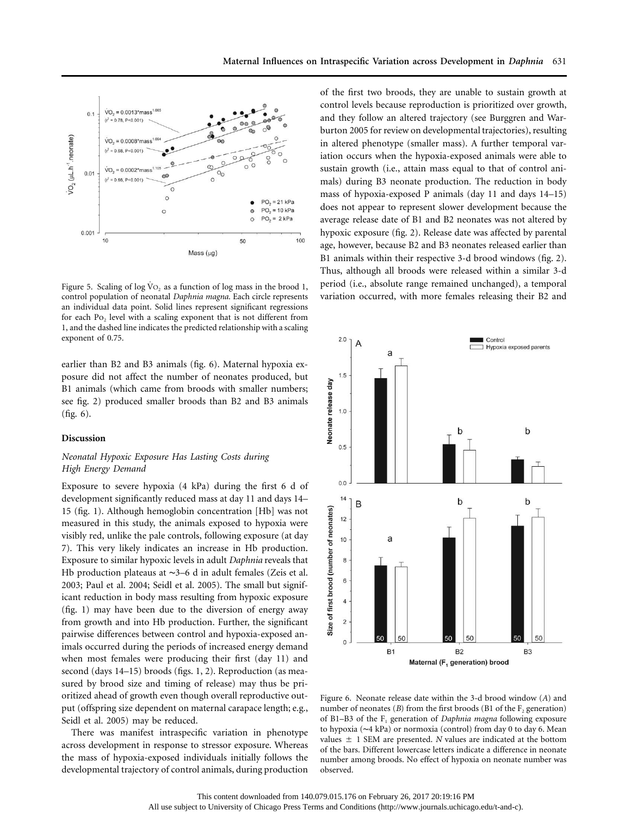

Figure 5. Scaling of log  $\text{Vo}_2$  as a function of log mass in the brood 1, control population of neonatal *Daphnia magna*. Each circle represents an individual data point. Solid lines represent significant regressions for each  $Po_2$  level with a scaling exponent that is not different from 1, and the dashed line indicates the predicted relationship with a scaling exponent of 0.75.

earlier than B2 and B3 animals (fig. 6). Maternal hypoxia exposure did not affect the number of neonates produced, but B1 animals (which came from broods with smaller numbers; see fig. 2) produced smaller broods than B2 and B3 animals (fig. 6).

## **Discussion**

# *Neonatal Hypoxic Exposure Has Lasting Costs during High Energy Demand*

Exposure to severe hypoxia (4 kPa) during the first 6 d of development significantly reduced mass at day 11 and days 14– 15 (fig. 1). Although hemoglobin concentration [Hb] was not measured in this study, the animals exposed to hypoxia were visibly red, unlike the pale controls, following exposure (at day 7). This very likely indicates an increase in Hb production. Exposure to similar hypoxic levels in adult *Daphnia* reveals that Hb production plateaus at ∼3–6 d in adult females (Zeis et al. 2003; Paul et al. 2004; Seidl et al. 2005). The small but significant reduction in body mass resulting from hypoxic exposure (fig. 1) may have been due to the diversion of energy away from growth and into Hb production. Further, the significant pairwise differences between control and hypoxia-exposed animals occurred during the periods of increased energy demand when most females were producing their first (day 11) and second (days 14–15) broods (figs. 1, 2). Reproduction (as measured by brood size and timing of release) may thus be prioritized ahead of growth even though overall reproductive output (offspring size dependent on maternal carapace length; e.g., Seidl et al. 2005) may be reduced.

There was manifest intraspecific variation in phenotype across development in response to stressor exposure. Whereas the mass of hypoxia-exposed individuals initially follows the developmental trajectory of control animals, during production of the first two broods, they are unable to sustain growth at control levels because reproduction is prioritized over growth, and they follow an altered trajectory (see Burggren and Warburton 2005 for review on developmental trajectories), resulting in altered phenotype (smaller mass). A further temporal variation occurs when the hypoxia-exposed animals were able to sustain growth (i.e., attain mass equal to that of control animals) during B3 neonate production. The reduction in body mass of hypoxia-exposed P animals (day 11 and days 14–15) does not appear to represent slower development because the average release date of B1 and B2 neonates was not altered by hypoxic exposure (fig. 2). Release date was affected by parental age, however, because B2 and B3 neonates released earlier than B1 animals within their respective 3-d brood windows (fig. 2). Thus, although all broods were released within a similar 3-d period (i.e., absolute range remained unchanged), a temporal variation occurred, with more females releasing their B2 and



Figure 6. Neonate release date within the 3-d brood window (*A*) and number of neonates (*B*) from the first broods (B1 of the  $F_2$  generation) of B1–B3 of the F<sub>1</sub> generation of *Daphnia magna* following exposure to hypoxia (∼4 kPa) or normoxia (control) from day 0 to day 6. Mean values  $\pm$  1 SEM are presented. *N* values are indicated at the bottom of the bars. Different lowercase letters indicate a difference in neonate number among broods. No effect of hypoxia on neonate number was observed.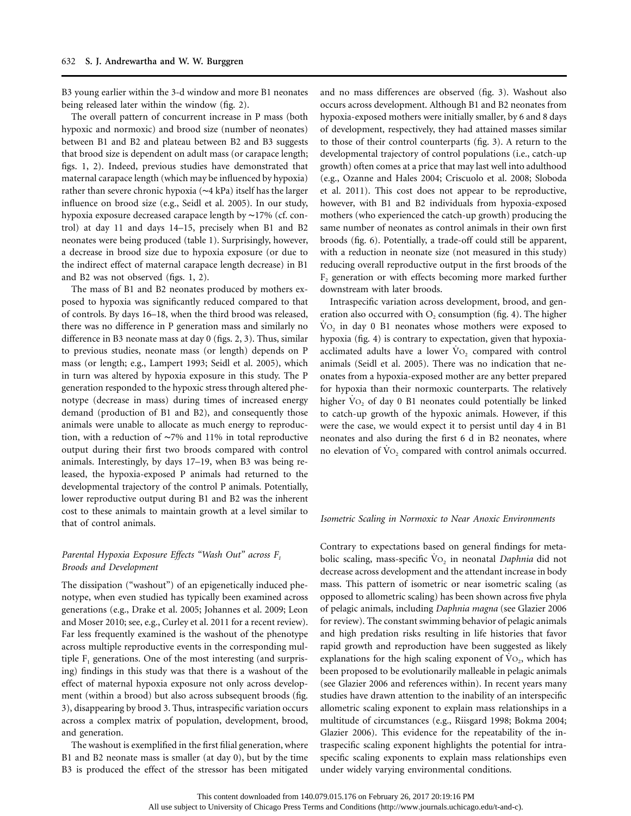B3 young earlier within the 3-d window and more B1 neonates being released later within the window (fig. 2).

The overall pattern of concurrent increase in P mass (both hypoxic and normoxic) and brood size (number of neonates) between B1 and B2 and plateau between B2 and B3 suggests that brood size is dependent on adult mass (or carapace length; figs. 1, 2). Indeed, previous studies have demonstrated that maternal carapace length (which may be influenced by hypoxia) rather than severe chronic hypoxia (∼4 kPa) itself has the larger influence on brood size (e.g., Seidl et al. 2005). In our study, hypoxia exposure decreased carapace length by ∼17% (cf. control) at day 11 and days 14–15, precisely when B1 and B2 neonates were being produced (table 1). Surprisingly, however, a decrease in brood size due to hypoxia exposure (or due to the indirect effect of maternal carapace length decrease) in B1 and B2 was not observed (figs. 1, 2).

The mass of B1 and B2 neonates produced by mothers exposed to hypoxia was significantly reduced compared to that of controls. By days 16–18, when the third brood was released, there was no difference in P generation mass and similarly no difference in B3 neonate mass at day 0 (figs. 2, 3). Thus, similar to previous studies, neonate mass (or length) depends on P mass (or length; e.g., Lampert 1993; Seidl et al. 2005), which in turn was altered by hypoxia exposure in this study. The P generation responded to the hypoxic stress through altered phenotype (decrease in mass) during times of increased energy demand (production of B1 and B2), and consequently those animals were unable to allocate as much energy to reproduction, with a reduction of ∼7% and 11% in total reproductive output during their first two broods compared with control animals. Interestingly, by days 17–19, when B3 was being released, the hypoxia-exposed P animals had returned to the developmental trajectory of the control P animals. Potentially, lower reproductive output during B1 and B2 was the inherent cost to these animals to maintain growth at a level similar to that of control animals.

# *Parental Hypoxia Exposure Effects "Wash Out" across F1 Broods and Development*

The dissipation ("washout") of an epigenetically induced phenotype, when even studied has typically been examined across generations (e.g., Drake et al. 2005; Johannes et al. 2009; Leon and Moser 2010; see, e.g., Curley et al. 2011 for a recent review). Far less frequently examined is the washout of the phenotype across multiple reproductive events in the corresponding multiple  $F_1$  generations. One of the most interesting (and surprising) findings in this study was that there is a washout of the effect of maternal hypoxia exposure not only across development (within a brood) but also across subsequent broods (fig. 3), disappearing by brood 3. Thus, intraspecific variation occurs across a complex matrix of population, development, brood, and generation.

The washout is exemplified in the first filial generation, where B1 and B2 neonate mass is smaller (at day 0), but by the time B3 is produced the effect of the stressor has been mitigated

and no mass differences are observed (fig. 3). Washout also occurs across development. Although B1 and B2 neonates from hypoxia-exposed mothers were initially smaller, by 6 and 8 days of development, respectively, they had attained masses similar to those of their control counterparts (fig. 3). A return to the developmental trajectory of control populations (i.e., catch-up growth) often comes at a price that may last well into adulthood (e.g., Ozanne and Hales 2004; Criscuolo et al. 2008; Sloboda et al. 2011). This cost does not appear to be reproductive, however, with B1 and B2 individuals from hypoxia-exposed mothers (who experienced the catch-up growth) producing the same number of neonates as control animals in their own first broods (fig. 6). Potentially, a trade-off could still be apparent, with a reduction in neonate size (not measured in this study) reducing overall reproductive output in the first broods of the  $F<sub>2</sub>$  generation or with effects becoming more marked further downstream with later broods.

Intraspecific variation across development, brood, and generation also occurred with  $O<sub>2</sub>$  consumption (fig. 4). The higher  $\rm\dot{Vo}_{2}$  in day 0 B1 neonates whose mothers were exposed to hypoxia (fig. 4) is contrary to expectation, given that hypoxiaacclimated adults have a lower  $Vo_2$  compared with control animals (Seidl et al. 2005). There was no indication that neonates from a hypoxia-exposed mother are any better prepared for hypoxia than their normoxic counterparts. The relatively higher  $\overline{VO_2}$  of day 0 B1 neonates could potentially be linked to catch-up growth of the hypoxic animals. However, if this were the case, we would expect it to persist until day 4 in B1 neonates and also during the first 6 d in B2 neonates, where no elevation of  $\text{Vo}_2$  compared with control animals occurred.

#### *Isometric Scaling in Normoxic to Near Anoxic Environments*

Contrary to expectations based on general findings for metabolic scaling, mass-specific V<sub>O2</sub> in neonatal *Daphnia* did not decrease across development and the attendant increase in body mass. This pattern of isometric or near isometric scaling (as opposed to allometric scaling) has been shown across five phyla of pelagic animals, including *Daphnia magna* (see Glazier 2006 for review). The constant swimming behavior of pelagic animals and high predation risks resulting in life histories that favor rapid growth and reproduction have been suggested as likely explanations for the high scaling exponent of  $VO<sub>2</sub>$ , which has been proposed to be evolutionarily malleable in pelagic animals (see Glazier 2006 and references within). In recent years many studies have drawn attention to the inability of an interspecific allometric scaling exponent to explain mass relationships in a multitude of circumstances (e.g., Riisgard 1998; Bokma 2004; Glazier 2006). This evidence for the repeatability of the intraspecific scaling exponent highlights the potential for intraspecific scaling exponents to explain mass relationships even under widely varying environmental conditions.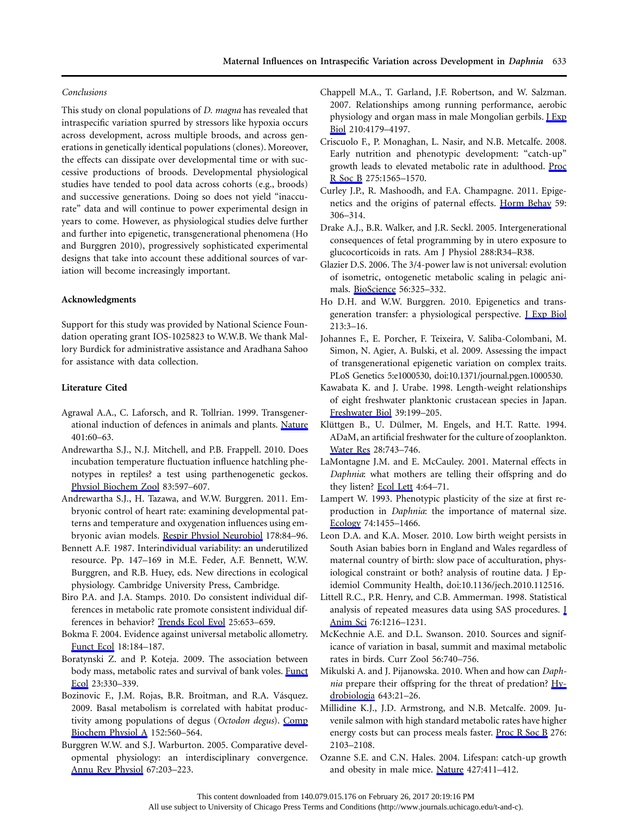#### *Conclusions*

This study on clonal populations of *D. magna* has revealed that intraspecific variation spurred by stressors like hypoxia occurs across development, across multiple broods, and across generations in genetically identical populations (clones). Moreover, the effects can dissipate over developmental time or with successive productions of broods. Developmental physiological studies have tended to pool data across cohorts (e.g., broods) and successive generations. Doing so does not yield "inaccurate" data and will continue to power experimental design in years to come. However, as physiological studies delve further and further into epigenetic, transgenerational phenomena (Ho and Burggren 2010), progressively sophisticated experimental designs that take into account these additional sources of variation will become increasingly important.

## **Acknowledgments**

Support for this study was provided by National Science Foundation operating grant IOS-1025823 to W.W.B. We thank Mallory Burdick for administrative assistance and Aradhana Sahoo for assistance with data collection.

#### **Literature Cited**

- Agrawal A.A., C. Laforsch, and R. Tollrian. 1999. Transgenerational induction of defences in animals and plants. [Nature](http://www.journals.uchicago.edu/action/showLinks?crossref=10.1038%2F43425) 401:60–63.
- Andrewartha S.J., N.J. Mitchell, and P.B. Frappell. 2010. Does incubation temperature fluctuation influence hatchling phenotypes in reptiles? a test using parthenogenetic geckos. [Physiol Biochem Zool](http://www.journals.uchicago.edu/action/showLinks?system=10.1086%2F652245) 83:597–607.
- Andrewartha S.J., H. Tazawa, and W.W. Burggren. 2011. Embryonic control of heart rate: examining developmental patterns and temperature and oxygenation influences using embryonic avian models. [Respir Physiol Neurobiol](http://www.journals.uchicago.edu/action/showLinks?pmid=21530689&crossref=10.1016%2Fj.resp.2011.04.014) 178:84–96.
- Bennett A.F. 1987. Interindividual variability: an underutilized resource. Pp. 147–169 in M.E. Feder, A.F. Bennett, W.W. Burggren, and R.B. Huey, eds. New directions in ecological physiology. Cambridge University Press, Cambridge.
- Biro P.A. and J.A. Stamps. 2010. Do consistent individual differences in metabolic rate promote consistent individual differences in behavior? [Trends Ecol Evol](http://www.journals.uchicago.edu/action/showLinks?pmid=20832898&crossref=10.1016%2Fj.tree.2010.08.003) 25:653–659.
- Bokma F. 2004. Evidence against universal metabolic allometry. [Funct Ecol](http://www.journals.uchicago.edu/action/showLinks?crossref=10.1111%2Fj.0269-8463.2004.00817.x) 18:184–187.
- Boratynski Z. and P. Koteja. 2009. The association between body mass, metabolic rates and survival of bank voles. [Funct](http://www.journals.uchicago.edu/action/showLinks?crossref=10.1111%2Fj.1365-2435.2008.01505.x) [Ecol](http://www.journals.uchicago.edu/action/showLinks?crossref=10.1111%2Fj.1365-2435.2008.01505.x) 23:330–339.
- Bozinovic F., J.M. Rojas, B.R. Broitman, and R.A. Vásquez. 2009. Basal metabolism is correlated with habitat productivity among populations of degus (*Octodon degus*). [Comp](http://www.journals.uchicago.edu/action/showLinks?pmid=19162212&crossref=10.1016%2Fj.cbpa.2008.12.015) [Biochem Physiol A](http://www.journals.uchicago.edu/action/showLinks?pmid=19162212&crossref=10.1016%2Fj.cbpa.2008.12.015) 152:560–564.
- Burggren W.W. and S.J. Warburton. 2005. Comparative developmental physiology: an interdisciplinary convergence. [Annu Rev Physiol](http://www.journals.uchicago.edu/action/showLinks?pmid=15709957&crossref=10.1146%2Fannurev.physiol.67.040403.104223) 67:203–223.
- Chappell M.A., T. Garland, J.F. Robertson, and W. Salzman. 2007. Relationships among running performance, aerobic physiology and organ mass in male Mongolian gerbils. **I Exp** [Biol](http://www.journals.uchicago.edu/action/showLinks?pmid=18025017&crossref=10.1242%2Fjeb.006163) 210:4179–4197.
- Criscuolo F., P. Monaghan, L. Nasir, and N.B. Metcalfe. 2008. Early nutrition and phenotypic development: "catch-up" growth leads to elevated metabolic rate in adulthood. [Proc](http://www.journals.uchicago.edu/action/showLinks?pmid=18397870&crossref=10.1098%2Frspb.2008.0148) [R Soc B](http://www.journals.uchicago.edu/action/showLinks?pmid=18397870&crossref=10.1098%2Frspb.2008.0148) 275:1565–1570.
- Curley J.P., R. Mashoodh, and F.A. Champagne. 2011. Epigenetics and the origins of paternal effects. [Horm Behav](http://www.journals.uchicago.edu/action/showLinks?pmid=20620140&crossref=10.1016%2Fj.yhbeh.2010.06.018) 59: 306–314.
- Drake A.J., B.R. Walker, and J.R. Seckl. 2005. Intergenerational consequences of fetal programming by in utero exposure to glucocorticoids in rats. Am J Physiol 288:R34–R38.
- Glazier D.S. 2006. The 3/4-power law is not universal: evolution of isometric, ontogenetic metabolic scaling in pelagic animals. [BioScience](http://www.journals.uchicago.edu/action/showLinks?crossref=10.1641%2F0006-3568%282006%2956%5B325%3ATPLINU%5D2.0.CO%3B2) 56:325–332.
- Ho D.H. and W.W. Burggren. 2010. Epigenetics and transgeneration transfer: a physiological perspective. *[Exp Biol]* 213:3–16.
- Johannes F., E. Porcher, F. Teixeira, V. Saliba-Colombani, M. Simon, N. Agier, A. Bulski, et al. 2009. Assessing the impact of transgenerational epigenetic variation on complex traits. PLoS Genetics 5:e1000530, doi:10.1371/journal.pgen.1000530.
- Kawabata K. and J. Urabe. 1998. Length-weight relationships of eight freshwater planktonic crustacean species in Japan. [Freshwater Biol](http://www.journals.uchicago.edu/action/showLinks?crossref=10.1046%2Fj.1365-2427.1998.00267.x) 39:199–205.
- Klüttgen B., U. Dülmer, M. Engels, and H.T. Ratte. 1994. ADaM, an artificial freshwater for the culture of zooplankton. [Water Res](http://www.journals.uchicago.edu/action/showLinks?crossref=10.1016%2F0043-1354%2894%2990157-0) 28:743–746.
- LaMontagne J.M. and E. McCauley. 2001. Maternal effects in *Daphnia*: what mothers are telling their offspring and do they listen? [Ecol Lett](http://www.journals.uchicago.edu/action/showLinks?crossref=10.1046%2Fj.1461-0248.2001.00197.x) 4:64-71.
- Lampert W. 1993. Phenotypic plasticity of the size at first reproduction in *Daphnia*: the importance of maternal size. [Ecology](http://www.journals.uchicago.edu/action/showLinks?crossref=10.2307%2F1940074) 74:1455–1466.
- Leon D.A. and K.A. Moser. 2010. Low birth weight persists in South Asian babies born in England and Wales regardless of maternal country of birth: slow pace of acculturation, physiological constraint or both? analysis of routine data. J Epidemiol Community Health, doi:10.1136/jech.2010.112516.
- Littell R.C., P.R. Henry, and C.B. Ammerman. 1998. Statistical analysis of repeated measures data using SAS procedures. [J](http://www.journals.uchicago.edu/action/showLinks?pmid=9581947) [Anim Sci](http://www.journals.uchicago.edu/action/showLinks?pmid=9581947) 76:1216–1231.
- McKechnie A.E. and D.L. Swanson. 2010. Sources and significance of variation in basal, summit and maximal metabolic rates in birds. Curr Zool 56:740–756.
- Mikulski A. and J. Pijanowska. 2010. When and how can *Daphnia* prepare their offspring for the threat of predation? [Hy](http://www.journals.uchicago.edu/action/showLinks?crossref=10.1007%2Fs10750-010-0131-0)[drobiologia](http://www.journals.uchicago.edu/action/showLinks?crossref=10.1007%2Fs10750-010-0131-0) 643:21–26.
- Millidine K.J., J.D. Armstrong, and N.B. Metcalfe. 2009. Juvenile salmon with high standard metabolic rates have higher energy costs but can process meals faster. [Proc R Soc B](http://www.journals.uchicago.edu/action/showLinks?pmid=19324750&crossref=10.1098%2Frspb.2009.0080) 276: 2103–2108.
- Ozanne S.E. and C.N. Hales. 2004. Lifespan: catch-up growth and obesity in male mice. [Nature](http://www.journals.uchicago.edu/action/showLinks?pmid=14749819&crossref=10.1038%2F427411b) 427:411–412.